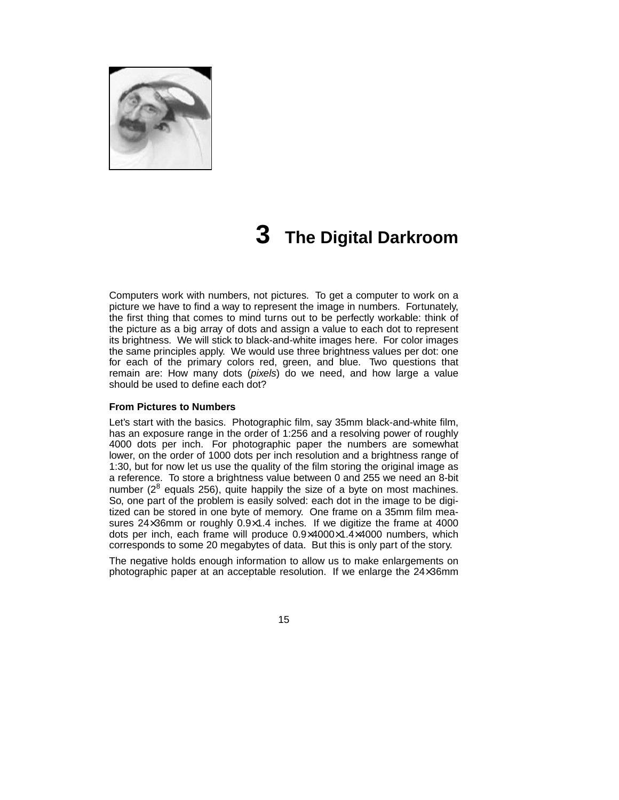

# **3 The Digital Darkroom**

Computers work with numbers, not pictures. To get a computer to work on a picture we have to find a way to represent the image in numbers. Fortunately, the first thing that comes to mind turns out to be perfectly workable: think of the picture as a big array of dots and assign a value to each dot to represent its brightness. We will stick to black-and-white images here. For color images the same principles apply. We would use three brightness values per dot: one for each of the primary colors red, green, and blue. Two questions that remain are: How many dots (pixels) do we need, and how large a value should be used to define each dot?

#### **From Pictures to Numbers**

Let's start with the basics. Photographic film, say 35mm black-and-white film, has an exposure range in the order of 1:256 and a resolving power of roughly 4000 dots per inch. For photographic paper the numbers are somewhat lower, on the order of 1000 dots per inch resolution and a brightness range of 1:30, but for now let us use the quality of the film storing the original image as a reference. To store a brightness value between 0 and 255 we need an 8-bit number ( $2^8$  equals 256), quite happily the size of a byte on most machines. So, one part of the problem is easily solved: each dot in the image to be digitized can be stored in one byte of memory. One frame on a 35mm film measures 24×36mm or roughly 0.9×1.4 inches. If we digitize the frame at 4000 dots per inch, each frame will produce 0.9×4000×1.4×4000 numbers, which corresponds to some 20 megabytes of data. But this is only part of the story.

The negative holds enough information to allow us to make enlargements on photographic paper at an acceptable resolution. If we enlarge the 24×36mm

15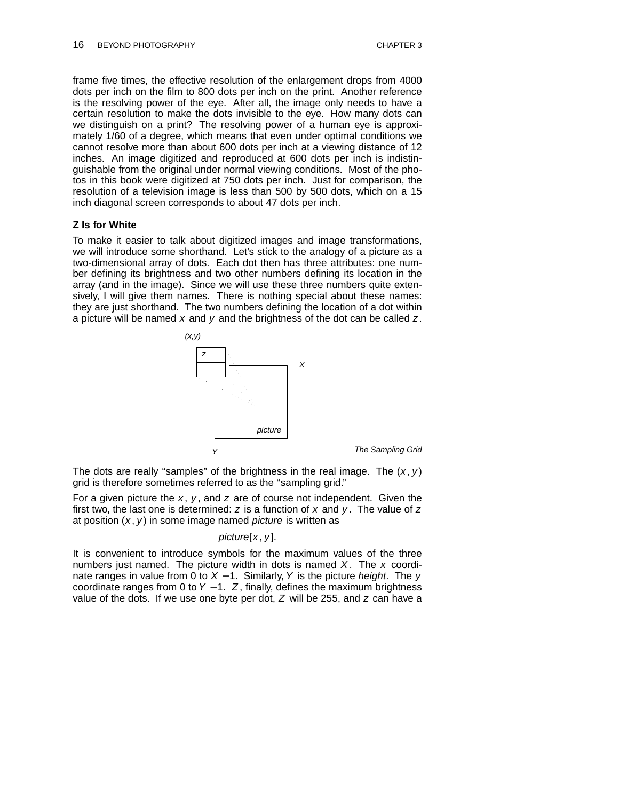frame five times, the effective resolution of the enlargement drops from 4000 dots per inch on the film to 800 dots per inch on the print. Another reference is the resolving power of the eye. After all, the image only needs to have a certain resolution to make the dots invisible to the eye. How many dots can we distinguish on a print? The resolving power of a human eye is approximately 1/60 of a degree, which means that even under optimal conditions we cannot resolve more than about 600 dots per inch at a viewing distance of 12 inches. An image digitized and reproduced at 600 dots per inch is indistinguishable from the original under normal viewing conditions. Most of the photos in this book were digitized at 750 dots per inch. Just for comparison, the resolution of a television image is less than 500 by 500 dots, which on a 15 inch diagonal screen corresponds to about 47 dots per inch.

#### **Z Is for White**

To make it easier to talk about digitized images and image transformations, we will introduce some shorthand. Let's stick to the analogy of a picture as a two-dimensional array of dots. Each dot then has three attributes: one number defining its brightness and two other numbers defining its location in the array (and in the image). Since we will use these three numbers quite extensively, I will give them names. There is nothing special about these names: they are just shorthand. The two numbers defining the location of a dot within a picture will be named  $x$  and  $y$  and the brightness of the dot can be called  $z$ .



The Sampling Grid

The dots are really "samples" of the brightness in the real image. The  $(x, y)$ grid is therefore sometimes referred to as the "sampling grid."

For a given picture the  $x$ ,  $y$ , and z are of course not independent. Given the first two, the last one is determined:  $z$  is a function of  $x$  and  $y$ . The value of  $z$ at position  $(x, y)$  in some image named *picture* is written as

#### $picture[x, y]$ .

It is convenient to introduce symbols for the maximum values of the three numbers just named. The picture width in dots is named  $X$ . The  $x$  coordinate ranges in value from 0 to  $X - 1$ . Similarly, Y is the picture *height*. The y coordinate ranges from 0 to Y − 1. Z , finally, defines the maximum brightness value of the dots. If we use one byte per dot,  $Z$  will be 255, and  $z$  can have a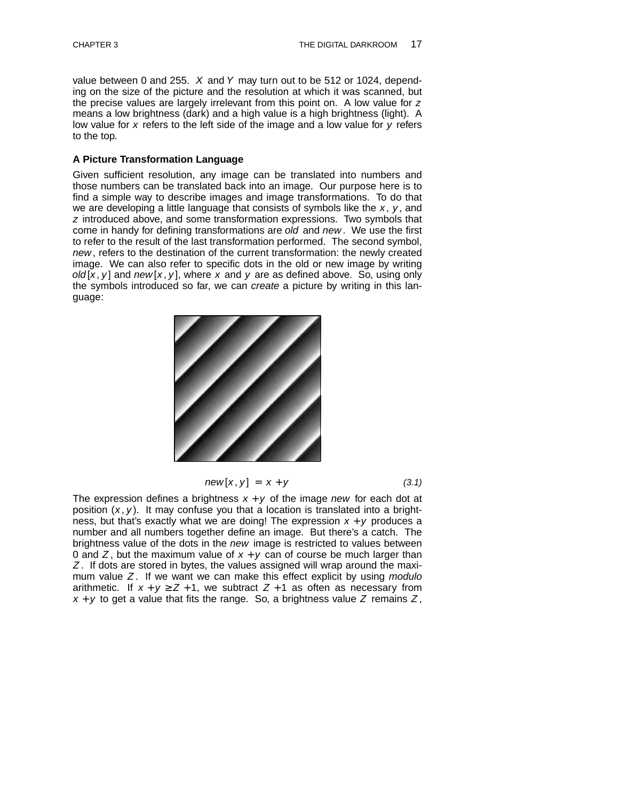value between 0 and 255.  $X$  and Y may turn out to be 512 or 1024, depending on the size of the picture and the resolution at which it was scanned, but the precise values are largely irrelevant from this point on. A low value for z means a low brightness (dark) and a high value is a high brightness (light). A low value for  $x$  refers to the left side of the image and a low value for  $y$  refers to the top.

#### **A Picture Transformation Language**

Given sufficient resolution, any image can be translated into numbers and those numbers can be translated back into an image. Our purpose here is to find a simple way to describe images and image transformations. To do that we are developing a little language that consists of symbols like the  $x, y$ , and z introduced above, and some transformation expressions. Two symbols that come in handy for defining transformations are old and new. We use the first to refer to the result of the last transformation performed. The second symbol, new, refers to the destination of the current transformation: the newly created image. We can also refer to specific dots in the old or new image by writing old  $[x, y]$  and new  $[x, y]$ , where x and y are as defined above. So, using only the symbols introduced so far, we can create a picture by writing in this language:



$$
new[x, y] = x + y \tag{3.1}
$$

The expression defines a brightness  $x + y$  of the image new for each dot at position  $(x, y)$ . It may confuse you that a location is translated into a brightness, but that's exactly what we are doing! The expression  $x + y$  produces a number and all numbers together define an image. But there's a catch. The brightness value of the dots in the new image is restricted to values between 0 and Z, but the maximum value of  $x + y$  can of course be much larger than Z. If dots are stored in bytes, the values assigned will wrap around the maximum value  $Z$ . If we want we can make this effect explicit by using modulo arithmetic. If  $x + y \ge Z + 1$ , we subtract  $Z + 1$  as often as necessary from  $x + y$  to get a value that fits the range. So, a brightness value Z remains Z,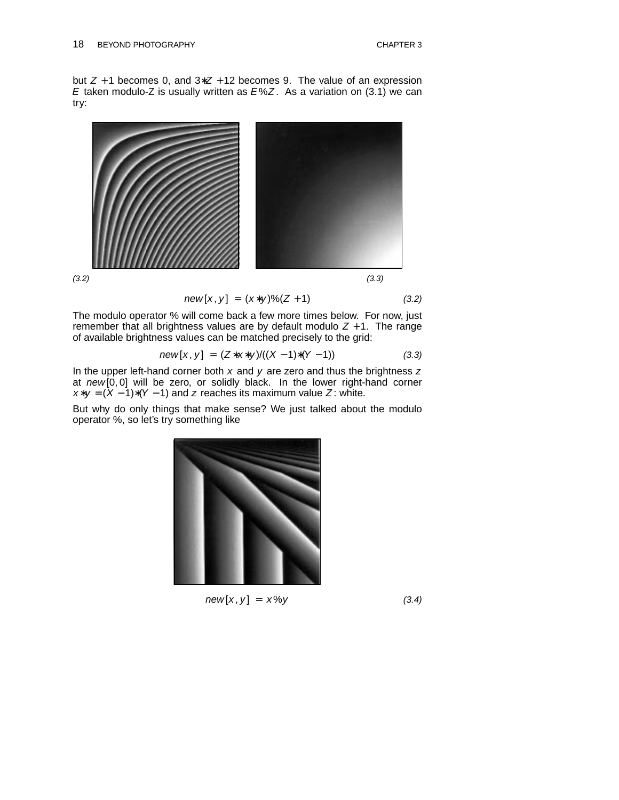but  $Z + 1$  becomes 0, and  $3 \times Z + 12$  becomes 9. The value of an expression E taken modulo-Z is usually written as  $E\%Z$ . As a variation on (3.1) we can try:



$$
new[x, y] = (x*y)\%(Z+1)
$$
 (3.2)

The modulo operator % will come back a few more times below. For now, just remember that all brightness values are by default modulo  $Z + 1$ . The range of available brightness values can be matched precisely to the grid:

$$
new[x, y] = (Z*x*y)/((X-1)*(Y-1))
$$
\n(3.3)

In the upper left-hand corner both  $x$  and  $y$  are zero and thus the brightness  $z$ at  $new[0, 0]$  will be zero, or solidly black. In the lower right-hand corner  $x*y = (X-1)*(Y-1)$  and z reaches its maximum value Z: white.

But why do only things that make sense? We just talked about the modulo operator %, so let's try something like



 $new[x, y] = x\%y$  (3.4)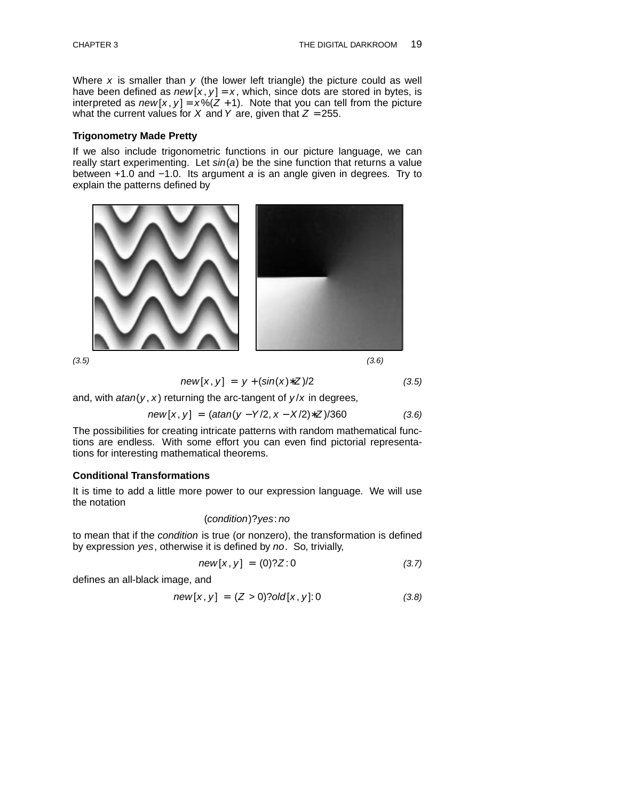Where  $x$  is smaller than  $y$  (the lower left triangle) the picture could as well have been defined as  $new[x, y] = x$ , which, since dots are stored in bytes, is interpreted as  $new[x, y] = x\%(Z + 1)$ . Note that you can tell from the picture what the current values for X and Y are, given that  $Z = 255$ .

#### **Trigonometry Made Pretty**

If we also include trigonometric functions in our picture language, we can really start experimenting. Let  $sin(a)$  be the sine function that returns a value between +1.0 and −1.0. Its argument a is an angle given in degrees. Try to explain the patterns defined by



 $(3.5)$  (3.5)

$$
new[x, y] = y + (sin(x)*Z)/2 \tag{3.5}
$$

and, with  $atan(y, x)$  returning the arc-tangent of  $y/x$  in degrees,

$$
new[x, y] = (atan(y - Y/2, x - X/2)*Z)/360 \qquad (3.6)
$$

The possibilities for creating intricate patterns with random mathematical functions are endless. With some effort you can even find pictorial representations for interesting mathematical theorems.

## **Conditional Transformations**

It is time to add a little more power to our expression language. We will use the notation

# (condition)? yes: no

to mean that if the condition is true (or nonzero), the transformation is defined by expression yes, otherwise it is defined by no. So, trivially,

$$
new[x, y] = (0)?Z:0 \t(3.7)
$$

defines an all-black image, and

$$
new[x, y] = (Z > 0)?old[x, y]:0
$$
 (3.8)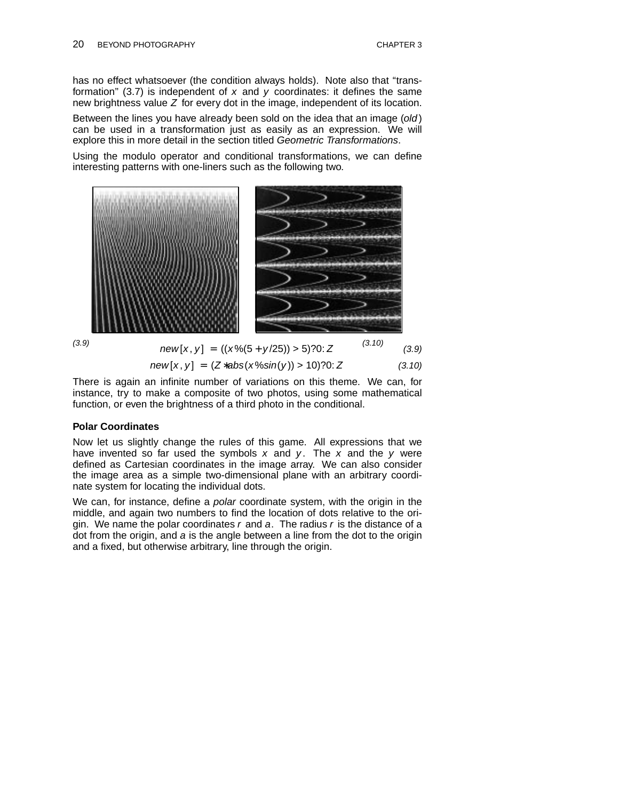has no effect whatsoever (the condition always holds). Note also that "transformation" (3.7) is independent of  $x$  and  $y$  coordinates: it defines the same new brightness value  $Z$  for every dot in the image, independent of its location.

Between the lines you have already been sold on the idea that an image (old) can be used in a transformation just as easily as an expression. We will explore this in more detail in the section titled Geometric Transformations.

Using the modulo operator and conditional transformations, we can define interesting patterns with one-liners such as the following two.



$$
new[x, y] = ((x\%(5 + y/25)) > 5)?0: Z \tag{3.10}
$$

$$
new[x, y] = (Z * abs(x % sin(y)) > 10)?0: Z
$$
 (3.10)

There is again an infinite number of variations on this theme. We can, for instance, try to make a composite of two photos, using some mathematical function, or even the brightness of a third photo in the conditional.

#### **Polar Coordinates**

Now let us slightly change the rules of this game. All expressions that we have invented so far used the symbols  $x$  and  $y$ . The  $x$  and the  $y$  were defined as Cartesian coordinates in the image array. We can also consider the image area as a simple two-dimensional plane with an arbitrary coordinate system for locating the individual dots.

We can, for instance, define a polar coordinate system, with the origin in the middle, and again two numbers to find the location of dots relative to the origin. We name the polar coordinates  $r$  and  $a$ . The radius  $r$  is the distance of a dot from the origin, and a is the angle between a line from the dot to the origin and a fixed, but otherwise arbitrary, line through the origin.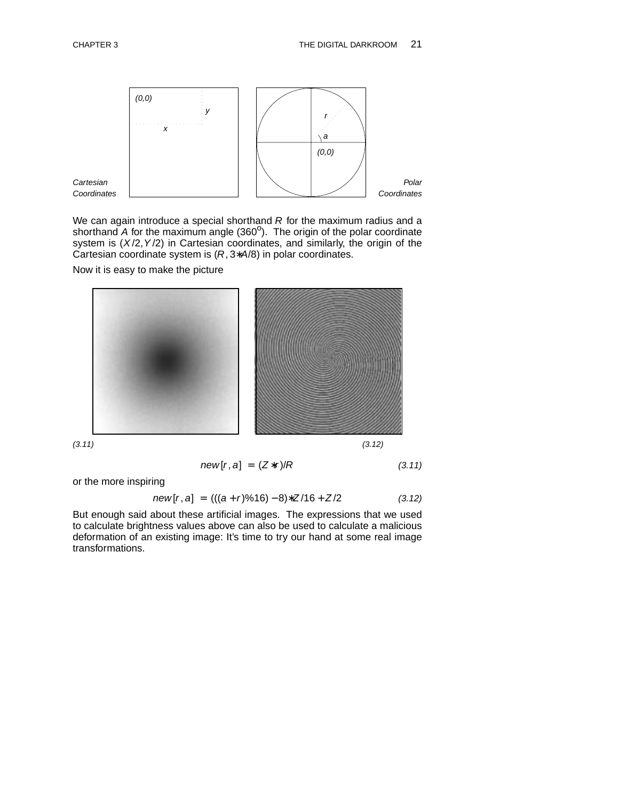

We can again introduce a special shorthand  $R$  for the maximum radius and a shorthand  $\overline{A}$  for the maximum angle  $(360^{\circ})$ . The origin of the polar coordinate system is  $(X/2, Y/2)$  in Cartesian coordinates, and similarly, the origin of the Cartesian coordinate system is  $(R, 3*A/8)$  in polar coordinates.

Now it is easy to make the picture



 $new[r, a] = (Z*r)/R$  (3.11)

or the more inspiring

$$
new[r, a] = (((a + r) \% 16) - 8) * Z/16 + Z/2 \qquad (3.12)
$$

But enough said about these artificial images. The expressions that we used to calculate brightness values above can also be used to calculate a malicious deformation of an existing image: It's time to try our hand at some real image transformations.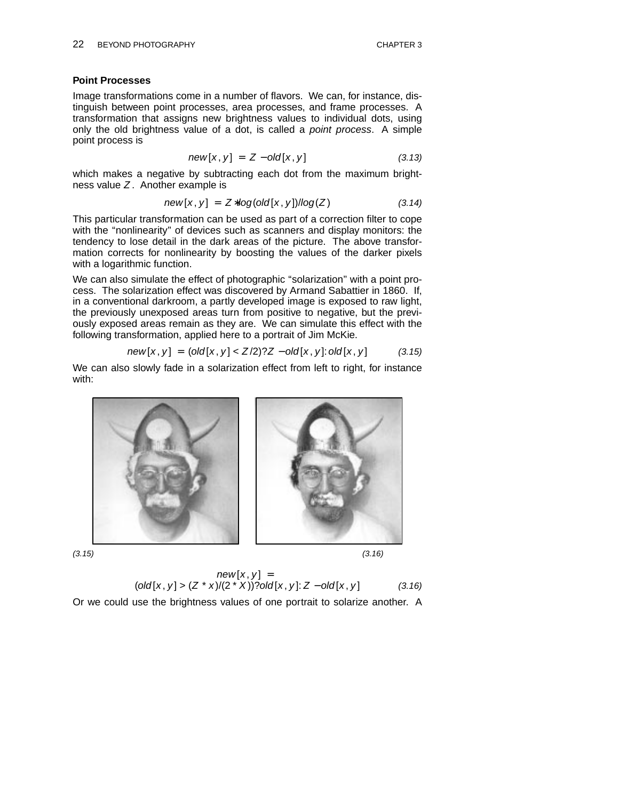## **Point Processes**

Image transformations come in a number of flavors. We can, for instance, distinguish between point processes, area processes, and frame processes. A transformation that assigns new brightness values to individual dots, using only the old brightness value of a dot, is called a *point process*. A simple point process is

$$
new[x, y] = Z - old[x, y] \qquad (3.13)
$$

which makes a negative by subtracting each dot from the maximum brightness value  $Z$ . Another example is

$$
new[x, y] = Z * log(old[x, y])/log(Z)
$$
 (3.14)

This particular transformation can be used as part of a correction filter to cope with the "nonlinearity" of devices such as scanners and display monitors: the tendency to lose detail in the dark areas of the picture. The above transformation corrects for nonlinearity by boosting the values of the darker pixels with a logarithmic function.

We can also simulate the effect of photographic "solarization" with a point process. The solarization effect was discovered by Armand Sabattier in 1860. If, in a conventional darkroom, a partly developed image is exposed to raw light, the previously unexposed areas turn from positive to negative, but the previously exposed areas remain as they are. We can simulate this effect with the following transformation, applied here to a portrait of Jim McKie.

$$
new[x, y] = (old[x, y] < Z/2)?Z - old[x, y]: old[x, y] \tag{3.15}
$$

We can also slowly fade in a solarization effect from left to right, for instance with:



 $(3.15)$  (3.16)

$$
new[x, y] =
$$
  
(old[x, y] > (Z \* x)/(2 \* X))?old[x, y]: Z - old[x, y] (3.16)

Or we could use the brightness values of one portrait to solarize another. A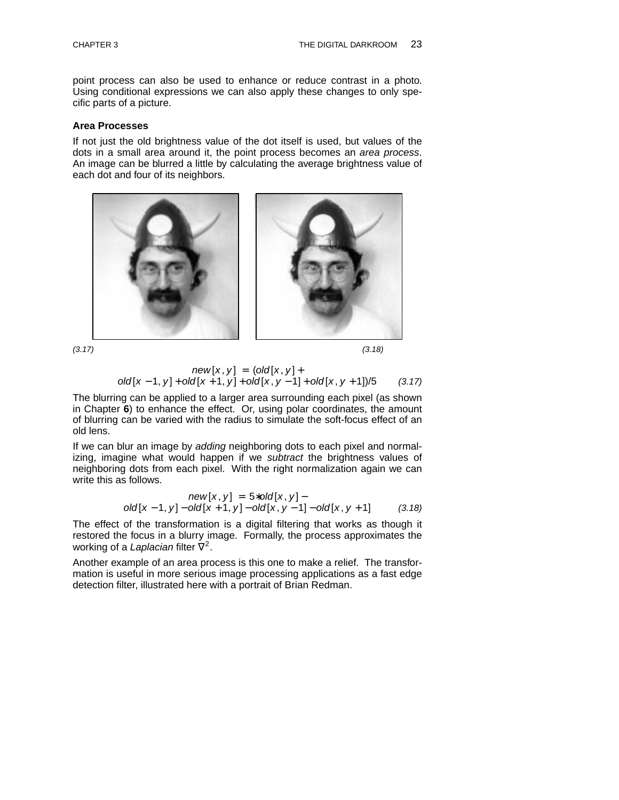point process can also be used to enhance or reduce contrast in a photo. Using conditional expressions we can also apply these changes to only specific parts of a picture.

#### **Area Processes**

If not just the old brightness value of the dot itself is used, but values of the dots in a small area around it, the point process becomes an area process. An image can be blurred a little by calculating the average brightness value of each dot and four of its neighbors.





$$
(3.17) \tag{3.18}
$$

$$
new[x, y] = (old[x, y] +
$$
  
old[x - 1, y] + old[x + 1, y] + old[x, y - 1] + old[x, y + 1])/5 (3.17)

The blurring can be applied to a larger area surrounding each pixel (as shown in Chapter **6**) to enhance the effect. Or, using polar coordinates, the amount of blurring can be varied with the radius to simulate the soft-focus effect of an old lens.

If we can blur an image by adding neighboring dots to each pixel and normalizing, imagine what would happen if we subtract the brightness values of neighboring dots from each pixel. With the right normalization again we can write this as follows.

new[x, y] = 
$$
5 * old[x, y]
$$
 -  
old[x - 1, y] - old[x + 1, y] - old[x, y - 1] - old[x, y + 1] (3.18)

The effect of the transformation is a digital filtering that works as though it restored the focus in a blurry image. Formally, the process approximates the working of a Laplacian filter  $\nabla^2$ .

Another example of an area process is this one to make a relief. The transformation is useful in more serious image processing applications as a fast edge detection filter, illustrated here with a portrait of Brian Redman.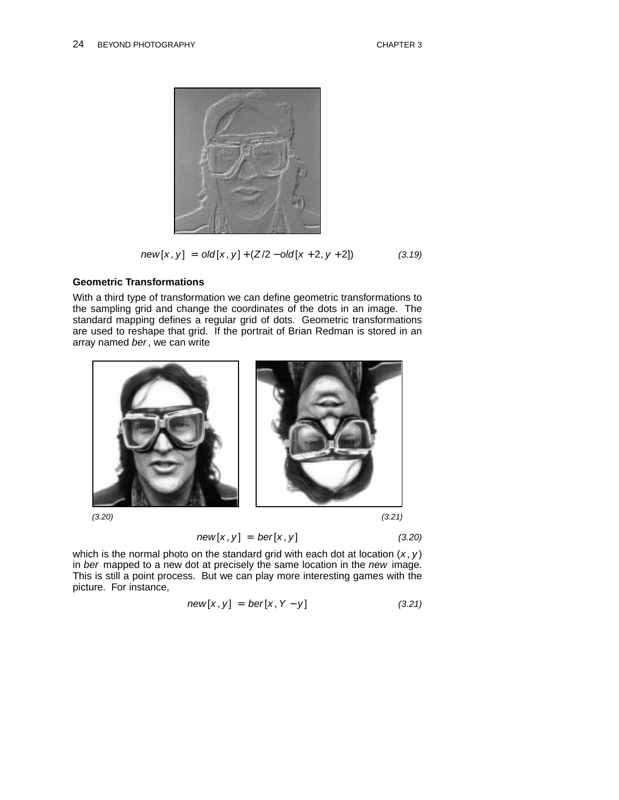

$$
new[x, y] = old[x, y] + (Z/2 - old[x + 2, y + 2])
$$
 (3.19)

# **Geometric Transformations**

With a third type of transformation we can define geometric transformations to the sampling grid and change the coordinates of the dots in an image. The standard mapping defines a regular grid of dots. Geometric transformations are used to reshape that grid. If the portrait of Brian Redman is stored in an array named ber, we can write



$$
new[x, y] = ber[x, y] \qquad (3.20)
$$

which is the normal photo on the standard grid with each dot at location  $(x, y)$ in ber mapped to a new dot at precisely the same location in the new image. This is still a point process. But we can play more interesting games with the picture. For instance,

$$
new[x, y] = ber[x, Y - y]
$$
 (3.21)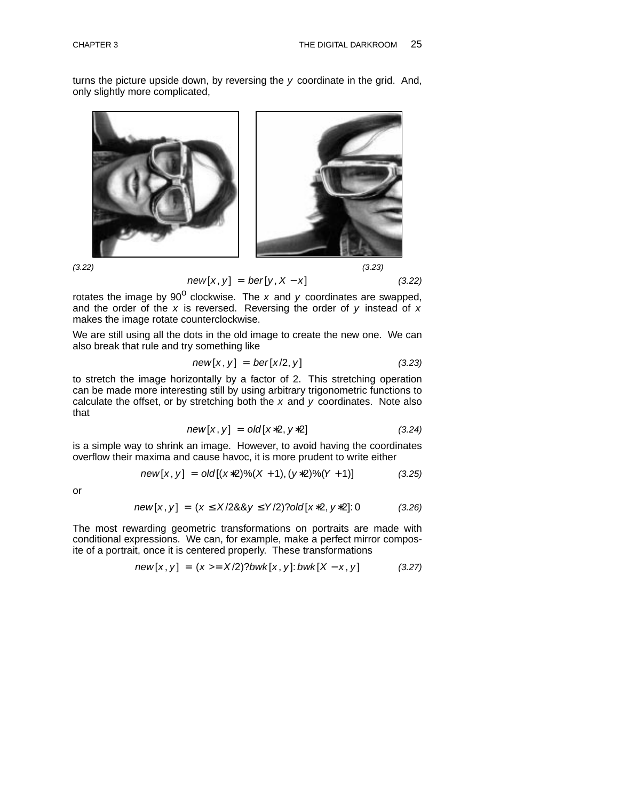turns the picture upside down, by reversing the  $y$  coordinate in the grid. And, only slightly more complicated,



 $(3.22)$  (3.23)

$$
new[x, y] = ber[y, X - x]
$$
 (3.22)

rotates the image by 90<sup>o</sup> clockwise. The x and y coordinates are swapped, and the order of the  $x$  is reversed. Reversing the order of  $y$  instead of  $x$ makes the image rotate counterclockwise.

We are still using all the dots in the old image to create the new one. We can also break that rule and try something like

$$
new[x, y] = ber[x/2, y] \qquad (3.23)
$$

to stretch the image horizontally by a factor of 2. This stretching operation can be made more interesting still by using arbitrary trigonometric functions to calculate the offset, or by stretching both the  $x$  and  $y$  coordinates. Note also that

$$
new[x, y] = old[x*2, y*2]
$$
 (3.24)

is a simple way to shrink an image. However, to avoid having the coordinates overflow their maxima and cause havoc, it is more prudent to write either

$$
new[x, y] = old[(x * 2) \% (X + 1), (y * 2) \% (Y + 1)] \qquad (3.25)
$$

or

$$
new[x, y] = (x \le X/28.8y \le Y/2)?old[x*2, y*2]:0
$$
 (3.26)

The most rewarding geometric transformations on portraits are made with conditional expressions. We can, for example, make a perfect mirror composite of a portrait, once it is centered properly. These transformations

$$
new[x, y] = (x >= X/2)?bwk[x, y]:bwk[X - x, y]
$$
 (3.27)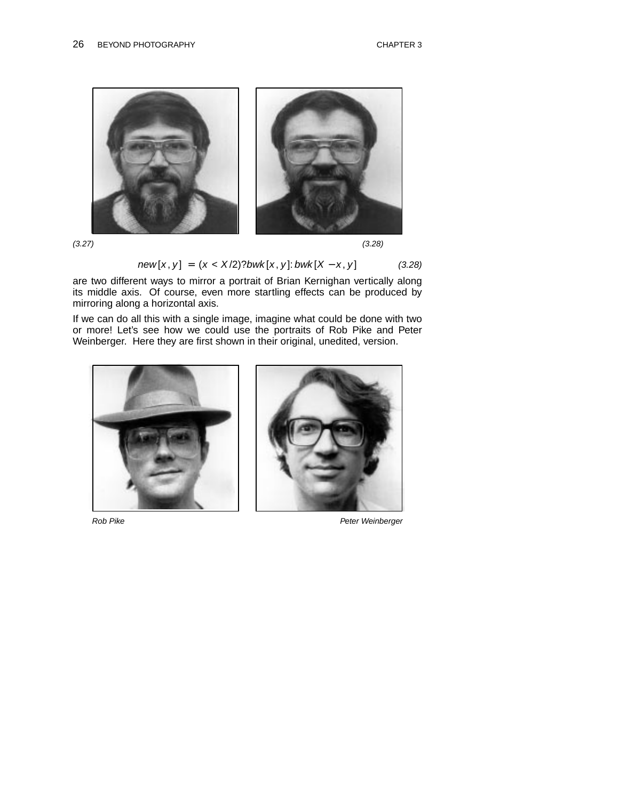

$$
(3.27) \tag{3.28}
$$

$$
new[x, y] = (x < X/2)?bwk[x, y]:bwk[X - x, y] \tag{3.28}
$$

are two different ways to mirror a portrait of Brian Kernighan vertically along its middle axis. Of course, even more startling effects can be produced by mirroring along a horizontal axis.

If we can do all this with a single image, imagine what could be done with two or more! Let's see how we could use the portraits of Rob Pike and Peter Weinberger. Here they are first shown in their original, unedited, version.





Rob Pike **Peter Weinberger** Peter Weinberger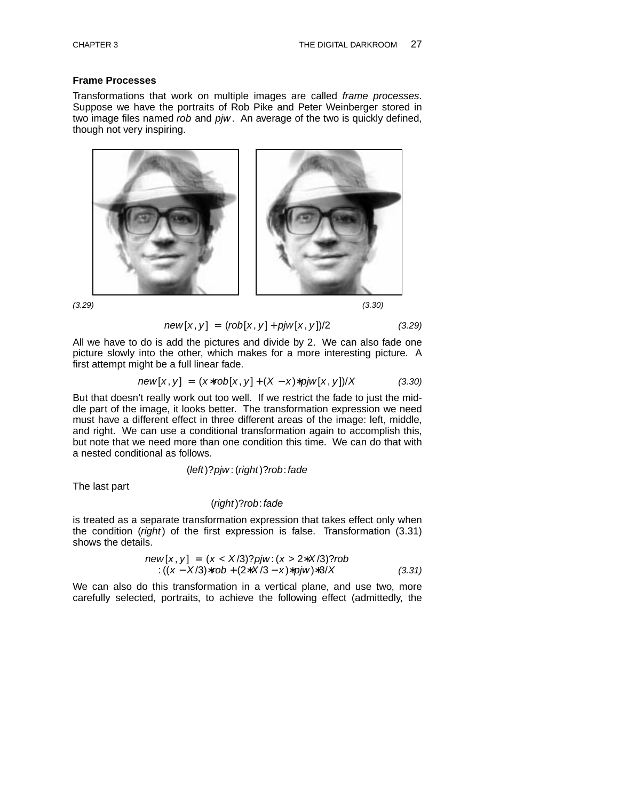## **Frame Processes**

Transformations that work on multiple images are called frame processes. Suppose we have the portraits of Rob Pike and Peter Weinberger stored in two image files named rob and pjw. An average of the two is quickly defined, though not very inspiring.



 $(3.29)$  (3.29)

$$
new[x, y] = (rob[x, y] + pjw[x, y])/2 \qquad (3.29)
$$

All we have to do is add the pictures and divide by 2. We can also fade one picture slowly into the other, which makes for a more interesting picture. A first attempt might be a full linear fade.

$$
new[x, y] = (x * rob[x, y] + (X - x) * piw[x, y])/X
$$
 (3.30)

But that doesn't really work out too well. If we restrict the fade to just the middle part of the image, it looks better. The transformation expression we need must have a different effect in three different areas of the image: left, middle, and right. We can use a conditional transformation again to accomplish this, but note that we need more than one condition this time. We can do that with a nested conditional as follows.

(left)?pjw : (right)?rob:fade

The last part

#### (right)?rob:fade

is treated as a separate transformation expression that takes effect only when the condition ( $right$ ) of the first expression is false. Transformation  $(3.31)$ shows the details.

new[x, y] = 
$$
(x < X/3)
$$
?*pi*:  $(x > 2 \cdot X/3)$ ?*rob*  
:\n $((x - X/3) \cdot \text{rob} + (2 \cdot X/3 - x) \cdot \text{p} \cdot \text{j} \cdot \text{m}) \cdot \text{3} / X$ \n(3.31)

We can also do this transformation in a vertical plane, and use two, more carefully selected, portraits, to achieve the following effect (admittedly, the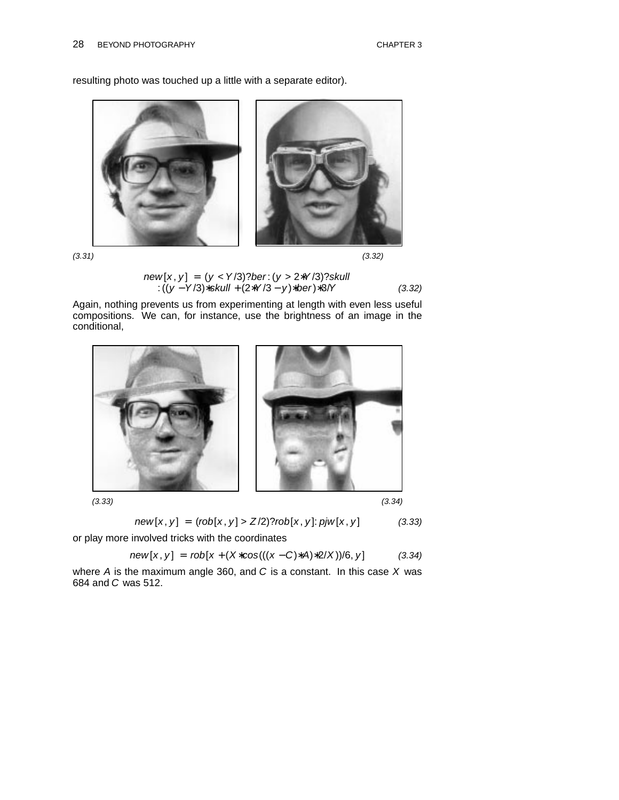resulting photo was touched up a little with a separate editor).



 $(3.31)$  (3.32)

$$
3.32)
$$

new [x , y ] = (y <Y /3)?ber: (y > 2∗Y /3)?skull : ((y −Y /3)∗skull + (2∗Y /3 − y )∗ber)∗3/Y (3.32)

Again, nothing prevents us from experimenting at length with even less useful compositions. We can, for instance, use the brightness of an image in the conditional,



 $(3.33)$  (3.33)

$$
new[x, y] = (rob[x, y] > Z/2) ?rob[x, y] : pjw[x, y]
$$
 (3.33)

or play more involved tricks with the coordinates

$$
new[x, y] = rob[x + (X * cos(((x - C) * A) * 2/X)) / 6, y]
$$
 (3.34)

where  $A$  is the maximum angle 360, and  $C$  is a constant. In this case  $X$  was 684 and C was 512.